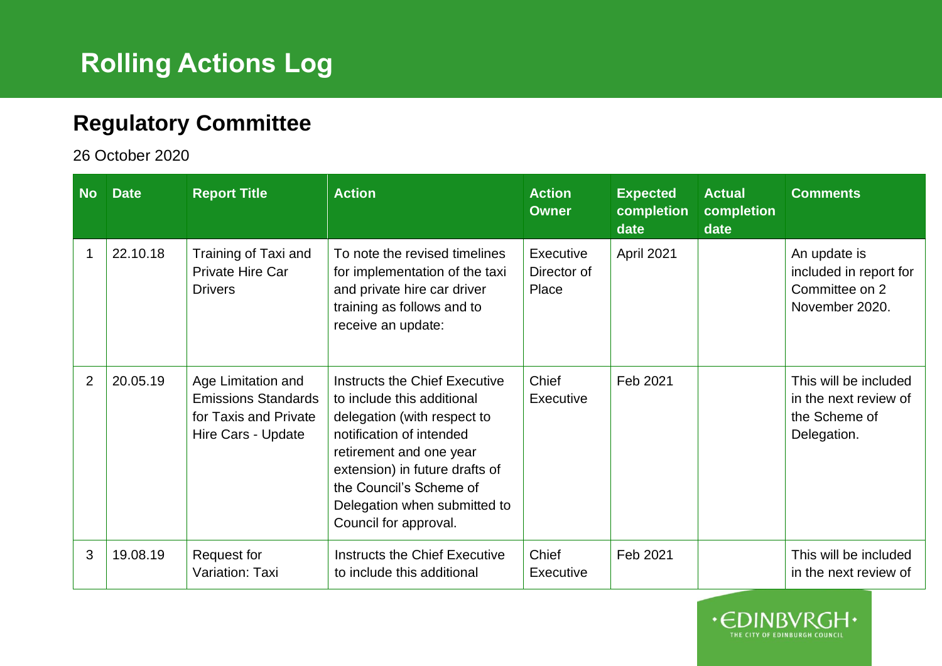## **Rolling Actions Log**

## **Regulatory Committee**

26 October 2020

| <b>No</b>      | <b>Date</b> | <b>Report Title</b>                                                                             | <b>Action</b>                                                                                                                                                                                                                                                           | <b>Action</b><br><b>Owner</b>     | <b>Expected</b><br>completion<br>date | <b>Actual</b><br>completion<br>date | <b>Comments</b>                                                                |
|----------------|-------------|-------------------------------------------------------------------------------------------------|-------------------------------------------------------------------------------------------------------------------------------------------------------------------------------------------------------------------------------------------------------------------------|-----------------------------------|---------------------------------------|-------------------------------------|--------------------------------------------------------------------------------|
|                | 22.10.18    | Training of Taxi and<br>Private Hire Car<br><b>Drivers</b>                                      | To note the revised timelines<br>for implementation of the taxi<br>and private hire car driver<br>training as follows and to<br>receive an update:                                                                                                                      | Executive<br>Director of<br>Place | April 2021                            |                                     | An update is<br>included in report for<br>Committee on 2<br>November 2020.     |
| $\overline{2}$ | 20.05.19    | Age Limitation and<br><b>Emissions Standards</b><br>for Taxis and Private<br>Hire Cars - Update | Instructs the Chief Executive<br>to include this additional<br>delegation (with respect to<br>notification of intended<br>retirement and one year<br>extension) in future drafts of<br>the Council's Scheme of<br>Delegation when submitted to<br>Council for approval. | Chief<br>Executive                | Feb 2021                              |                                     | This will be included<br>in the next review of<br>the Scheme of<br>Delegation. |
| 3              | 19.08.19    | Request for<br>Variation: Taxi                                                                  | Instructs the Chief Executive<br>to include this additional                                                                                                                                                                                                             | Chief<br><b>Executive</b>         | Feb 2021                              |                                     | This will be included<br>in the next review of                                 |

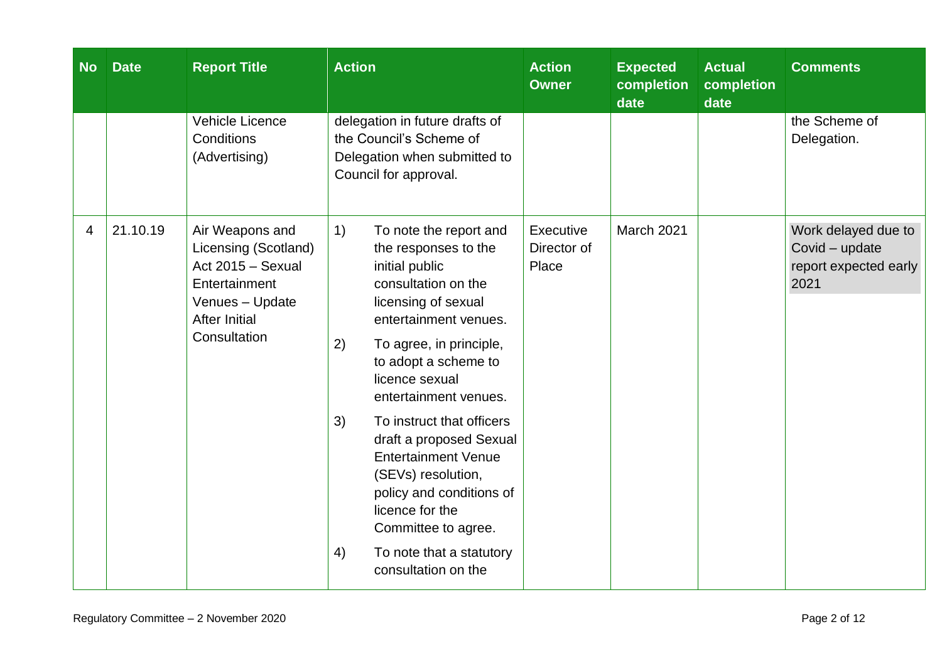| <b>No</b> | <b>Date</b> | <b>Report Title</b>                                                                                                                      | <b>Action</b>                                                                                                                                                                                                                                                                                                                                                                                                                                                                                      | <b>Action</b><br><b>Owner</b>     | <b>Expected</b><br>completion<br>date | <b>Actual</b><br>completion<br>date | <b>Comments</b>                                                        |
|-----------|-------------|------------------------------------------------------------------------------------------------------------------------------------------|----------------------------------------------------------------------------------------------------------------------------------------------------------------------------------------------------------------------------------------------------------------------------------------------------------------------------------------------------------------------------------------------------------------------------------------------------------------------------------------------------|-----------------------------------|---------------------------------------|-------------------------------------|------------------------------------------------------------------------|
|           |             | <b>Vehicle Licence</b><br>Conditions<br>(Advertising)                                                                                    | delegation in future drafts of<br>the Council's Scheme of<br>Delegation when submitted to<br>Council for approval.                                                                                                                                                                                                                                                                                                                                                                                 |                                   |                                       |                                     | the Scheme of<br>Delegation.                                           |
| 4         | 21.10.19    | Air Weapons and<br>Licensing (Scotland)<br>Act 2015 - Sexual<br>Entertainment<br>Venues - Update<br><b>After Initial</b><br>Consultation | 1)<br>To note the report and<br>the responses to the<br>initial public<br>consultation on the<br>licensing of sexual<br>entertainment venues.<br>2)<br>To agree, in principle,<br>to adopt a scheme to<br>licence sexual<br>entertainment venues.<br>3)<br>To instruct that officers<br>draft a proposed Sexual<br><b>Entertainment Venue</b><br>(SEVs) resolution,<br>policy and conditions of<br>licence for the<br>Committee to agree.<br>4)<br>To note that a statutory<br>consultation on the | Executive<br>Director of<br>Place | March 2021                            |                                     | Work delayed due to<br>Covid - update<br>report expected early<br>2021 |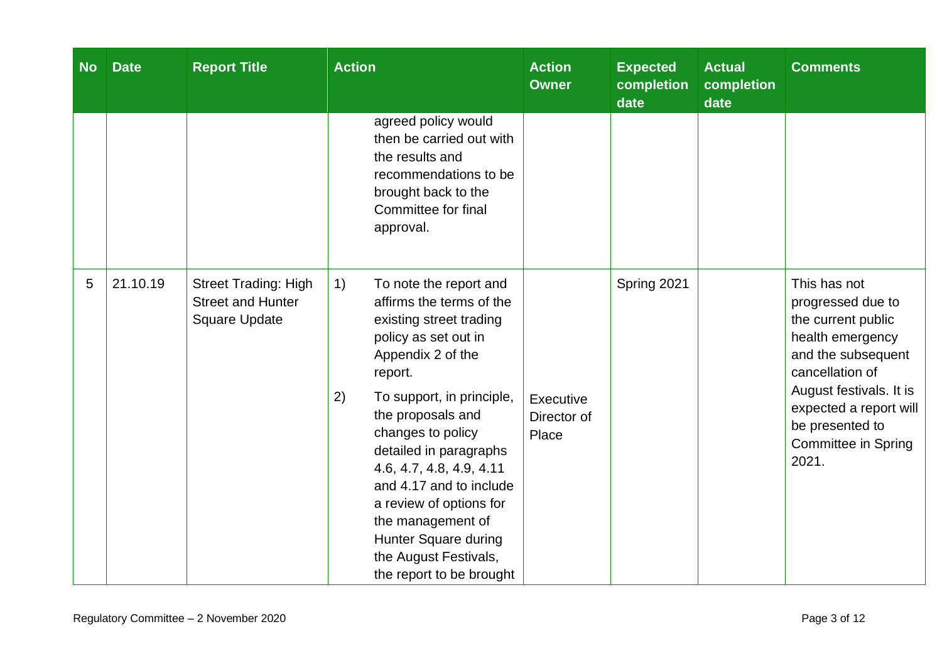| <b>No</b> | <b>Date</b>                                                                                                                                                                                                                                                                             | <b>Report Title</b>                                                             | <b>Action</b>                                                                                                                                          | <b>Action</b><br><b>Owner</b> | <b>Expected</b><br>completion<br>date                                                                       | <b>Actual</b><br>completion<br>date | <b>Comments</b>                                                                                                      |
|-----------|-----------------------------------------------------------------------------------------------------------------------------------------------------------------------------------------------------------------------------------------------------------------------------------------|---------------------------------------------------------------------------------|--------------------------------------------------------------------------------------------------------------------------------------------------------|-------------------------------|-------------------------------------------------------------------------------------------------------------|-------------------------------------|----------------------------------------------------------------------------------------------------------------------|
|           |                                                                                                                                                                                                                                                                                         |                                                                                 | agreed policy would<br>then be carried out with<br>the results and<br>recommendations to be<br>brought back to the<br>Committee for final<br>approval. |                               |                                                                                                             |                                     |                                                                                                                      |
| 5         | 21.10.19                                                                                                                                                                                                                                                                                | <b>Street Trading: High</b><br><b>Street and Hunter</b><br><b>Square Update</b> | 1)<br>To note the report and<br>affirms the terms of the<br>existing street trading<br>policy as set out in<br>Appendix 2 of the<br>report.            |                               | Spring 2021                                                                                                 |                                     | This has not<br>progressed due to<br>the current public<br>health emergency<br>and the subsequent<br>cancellation of |
|           | 2)<br>To support, in principle,<br>the proposals and<br>changes to policy<br>detailed in paragraphs<br>4.6, 4.7, 4.8, 4.9, 4.11<br>and 4.17 and to include<br>a review of options for<br>the management of<br>Hunter Square during<br>the August Festivals,<br>the report to be brought | Executive<br>Director of<br>Place                                               |                                                                                                                                                        |                               | August festivals. It is<br>expected a report will<br>be presented to<br><b>Committee in Spring</b><br>2021. |                                     |                                                                                                                      |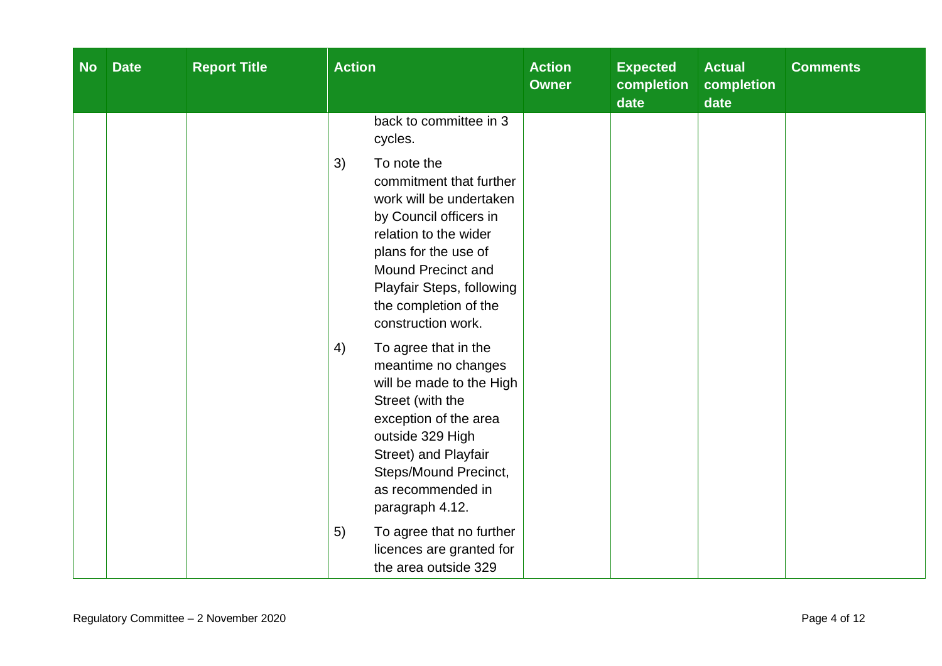| <b>No</b> | <b>Date</b> | <b>Report Title</b> | <b>Action</b>                                                                                                                                                                                                                                        | <b>Action</b><br><b>Owner</b> | <b>Expected</b><br>completion<br>date | <b>Actual</b><br>completion<br>date | <b>Comments</b> |
|-----------|-------------|---------------------|------------------------------------------------------------------------------------------------------------------------------------------------------------------------------------------------------------------------------------------------------|-------------------------------|---------------------------------------|-------------------------------------|-----------------|
|           |             |                     | back to committee in 3<br>cycles.                                                                                                                                                                                                                    |                               |                                       |                                     |                 |
|           |             |                     | 3)<br>To note the<br>commitment that further<br>work will be undertaken<br>by Council officers in<br>relation to the wider<br>plans for the use of<br>Mound Precinct and<br>Playfair Steps, following<br>the completion of the<br>construction work. |                               |                                       |                                     |                 |
|           |             |                     | 4)<br>To agree that in the<br>meantime no changes<br>will be made to the High<br>Street (with the<br>exception of the area<br>outside 329 High<br>Street) and Playfair<br>Steps/Mound Precinct,<br>as recommended in<br>paragraph 4.12.              |                               |                                       |                                     |                 |
|           |             |                     | 5)<br>To agree that no further<br>licences are granted for<br>the area outside 329                                                                                                                                                                   |                               |                                       |                                     |                 |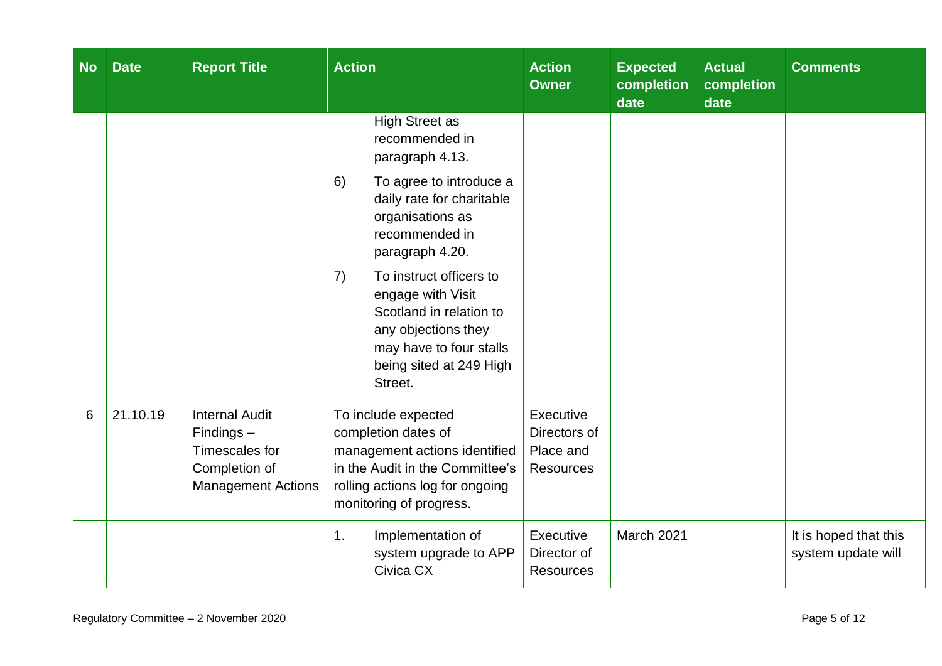| <b>No</b> | <b>Date</b> | <b>Report Title</b>                                                                                   | <b>Action</b>                                                                                                                                                                     | <b>Action</b><br><b>Owner</b>                              | <b>Expected</b><br>completion<br>date | <b>Actual</b><br>completion<br>date | <b>Comments</b>                             |
|-----------|-------------|-------------------------------------------------------------------------------------------------------|-----------------------------------------------------------------------------------------------------------------------------------------------------------------------------------|------------------------------------------------------------|---------------------------------------|-------------------------------------|---------------------------------------------|
|           |             |                                                                                                       | <b>High Street as</b><br>recommended in<br>paragraph 4.13.<br>6)<br>To agree to introduce a<br>daily rate for charitable<br>organisations as<br>recommended in<br>paragraph 4.20. |                                                            |                                       |                                     |                                             |
|           |             |                                                                                                       | To instruct officers to<br>7)<br>engage with Visit<br>Scotland in relation to<br>any objections they<br>may have to four stalls<br>being sited at 249 High<br>Street.             |                                                            |                                       |                                     |                                             |
| 6         | 21.10.19    | <b>Internal Audit</b><br>$Findings -$<br>Timescales for<br>Completion of<br><b>Management Actions</b> | To include expected<br>completion dates of<br>management actions identified<br>in the Audit in the Committee's<br>rolling actions log for ongoing<br>monitoring of progress.      | Executive<br>Directors of<br>Place and<br><b>Resources</b> |                                       |                                     |                                             |
|           |             |                                                                                                       | Implementation of<br>1.<br>system upgrade to APP<br>Civica CX                                                                                                                     | Executive<br>Director of<br><b>Resources</b>               | March 2021                            |                                     | It is hoped that this<br>system update will |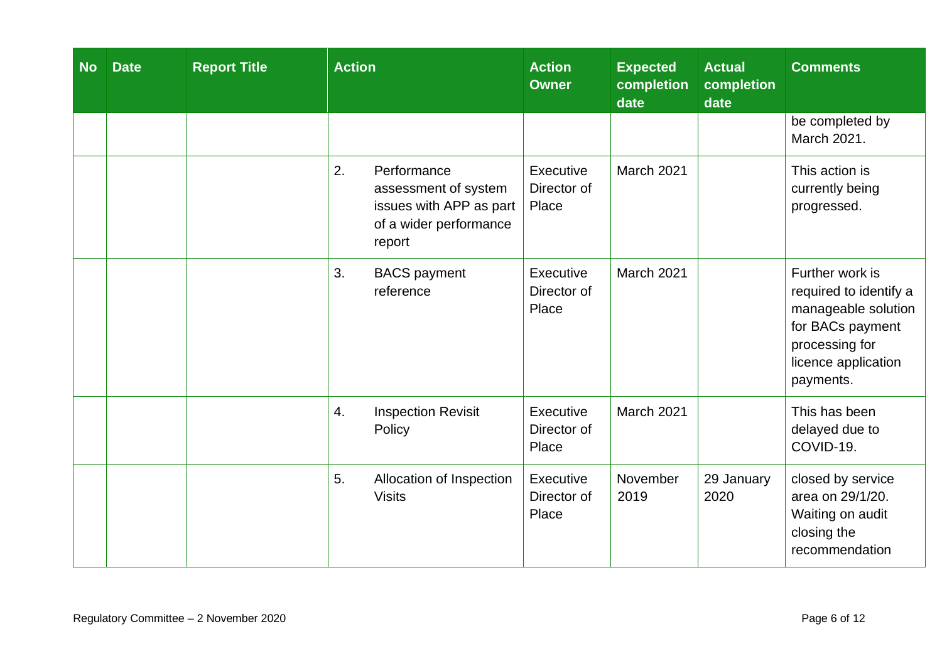| <b>No</b> | <b>Date</b> | <b>Report Title</b> | <b>Action</b>                                                                                            | <b>Action</b><br><b>Owner</b>     | <b>Expected</b><br>completion<br>date | <b>Actual</b><br>completion<br>date | <b>Comments</b>                                                                                                                            |
|-----------|-------------|---------------------|----------------------------------------------------------------------------------------------------------|-----------------------------------|---------------------------------------|-------------------------------------|--------------------------------------------------------------------------------------------------------------------------------------------|
|           |             |                     |                                                                                                          |                                   |                                       |                                     | be completed by<br>March 2021.                                                                                                             |
|           |             |                     | 2.<br>Performance<br>assessment of system<br>issues with APP as part<br>of a wider performance<br>report | Executive<br>Director of<br>Place | March 2021                            |                                     | This action is<br>currently being<br>progressed.                                                                                           |
|           |             |                     | 3.<br><b>BACS</b> payment<br>reference                                                                   | Executive<br>Director of<br>Place | March 2021                            |                                     | Further work is<br>required to identify a<br>manageable solution<br>for BACs payment<br>processing for<br>licence application<br>payments. |
|           |             |                     | 4.<br><b>Inspection Revisit</b><br>Policy                                                                | Executive<br>Director of<br>Place | March 2021                            |                                     | This has been<br>delayed due to<br>COVID-19.                                                                                               |
|           |             |                     | 5.<br>Allocation of Inspection<br><b>Visits</b>                                                          | Executive<br>Director of<br>Place | November<br>2019                      | 29 January<br>2020                  | closed by service<br>area on 29/1/20.<br>Waiting on audit<br>closing the<br>recommendation                                                 |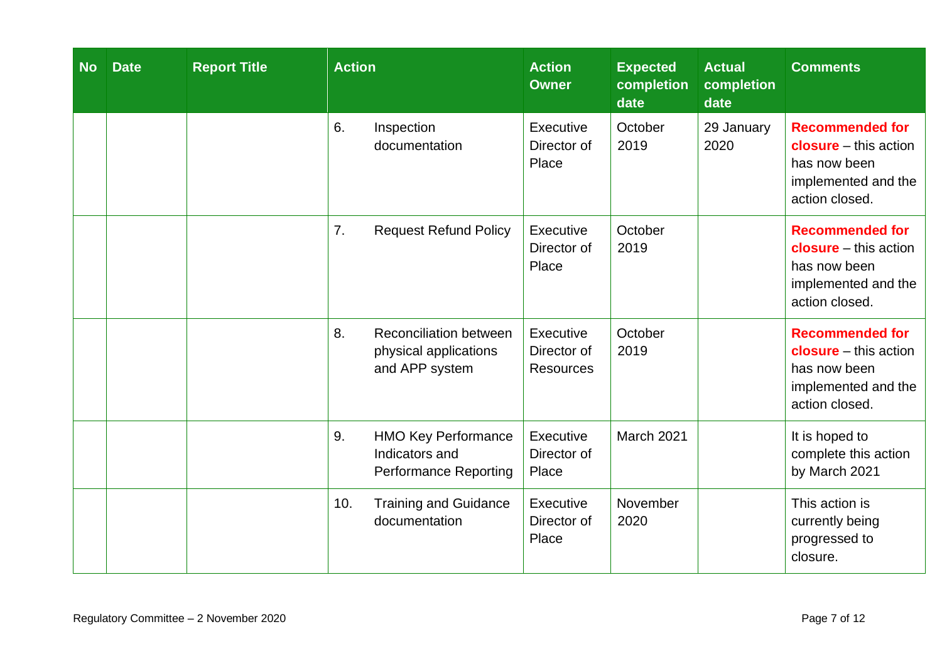| <b>No</b> | <b>Date</b> | <b>Report Title</b> | <b>Action</b> |                                                                              | <b>Action</b><br><b>Owner</b>                | <b>Expected</b><br>completion<br>date | <b>Actual</b><br>completion<br>date | <b>Comments</b>                                                                                                   |
|-----------|-------------|---------------------|---------------|------------------------------------------------------------------------------|----------------------------------------------|---------------------------------------|-------------------------------------|-------------------------------------------------------------------------------------------------------------------|
|           |             |                     | 6.            | Inspection<br>documentation                                                  | Executive<br>Director of<br>Place            | October<br>2019                       | 29 January<br>2020                  | <b>Recommended for</b><br>$closure - this action$<br>has now been<br>implemented and the<br>action closed.        |
|           |             |                     | 7.            | <b>Request Refund Policy</b>                                                 | Executive<br>Director of<br>Place            | October<br>2019                       |                                     | <b>Recommended for</b><br><b>closure</b> – this action<br>has now been<br>implemented and the<br>action closed.   |
|           |             |                     | 8.            | <b>Reconciliation between</b><br>physical applications<br>and APP system     | Executive<br>Director of<br><b>Resources</b> | October<br>2019                       |                                     | <b>Recommended for</b><br><b>closure</b> $-$ this action<br>has now been<br>implemented and the<br>action closed. |
|           |             |                     | 9.            | <b>HMO Key Performance</b><br>Indicators and<br><b>Performance Reporting</b> | Executive<br>Director of<br>Place            | March 2021                            |                                     | It is hoped to<br>complete this action<br>by March 2021                                                           |
|           |             |                     | 10.           | <b>Training and Guidance</b><br>documentation                                | Executive<br>Director of<br>Place            | November<br>2020                      |                                     | This action is<br>currently being<br>progressed to<br>closure.                                                    |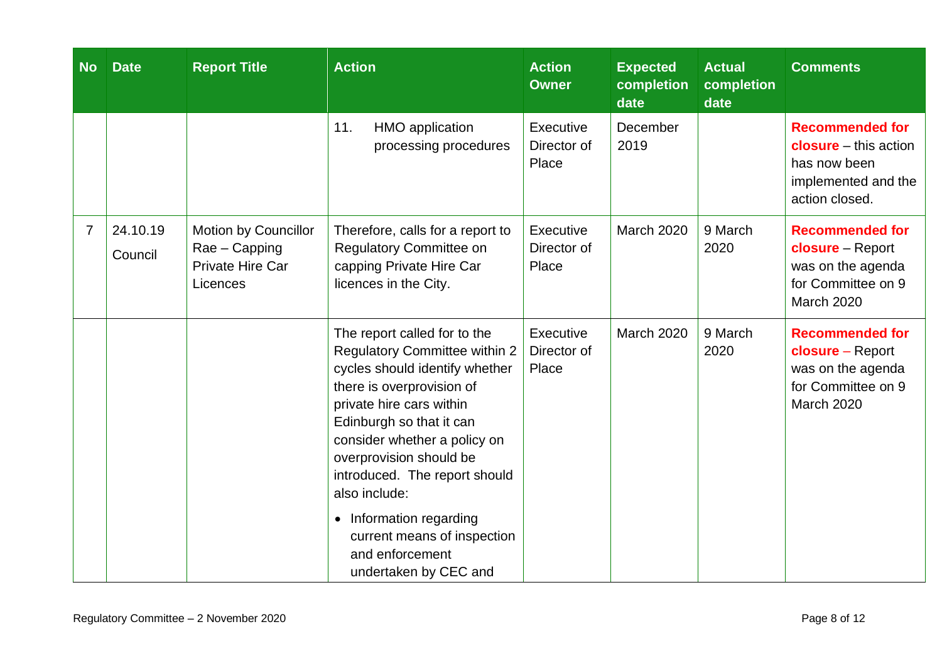| <b>No</b>      | <b>Date</b>         | <b>Report Title</b>                                                   | <b>Action</b>                                                                                                                                                                                                                                                                                                                                                                                                             | <b>Action</b><br><b>Owner</b>     | <b>Expected</b><br>completion<br>date | <b>Actual</b><br>completion<br>date | <b>Comments</b>                                                                                                 |
|----------------|---------------------|-----------------------------------------------------------------------|---------------------------------------------------------------------------------------------------------------------------------------------------------------------------------------------------------------------------------------------------------------------------------------------------------------------------------------------------------------------------------------------------------------------------|-----------------------------------|---------------------------------------|-------------------------------------|-----------------------------------------------------------------------------------------------------------------|
|                |                     |                                                                       | 11.<br><b>HMO</b> application<br>processing procedures                                                                                                                                                                                                                                                                                                                                                                    | Executive<br>Director of<br>Place | December<br>2019                      |                                     | <b>Recommended for</b><br><b>closure</b> – this action<br>has now been<br>implemented and the<br>action closed. |
| $\overline{7}$ | 24.10.19<br>Council | Motion by Councillor<br>Rae - Capping<br>Private Hire Car<br>Licences | Therefore, calls for a report to<br>Regulatory Committee on<br>capping Private Hire Car<br>licences in the City.                                                                                                                                                                                                                                                                                                          | Executive<br>Director of<br>Place | <b>March 2020</b>                     | 9 March<br>2020                     | <b>Recommended for</b><br>closure - Report<br>was on the agenda<br>for Committee on 9<br><b>March 2020</b>      |
|                |                     |                                                                       | The report called for to the<br><b>Regulatory Committee within 2</b><br>cycles should identify whether<br>there is overprovision of<br>private hire cars within<br>Edinburgh so that it can<br>consider whether a policy on<br>overprovision should be<br>introduced. The report should<br>also include:<br>Information regarding<br>$\bullet$<br>current means of inspection<br>and enforcement<br>undertaken by CEC and | Executive<br>Director of<br>Place | March 2020                            | 9 March<br>2020                     | <b>Recommended for</b><br>closure - Report<br>was on the agenda<br>for Committee on 9<br>March 2020             |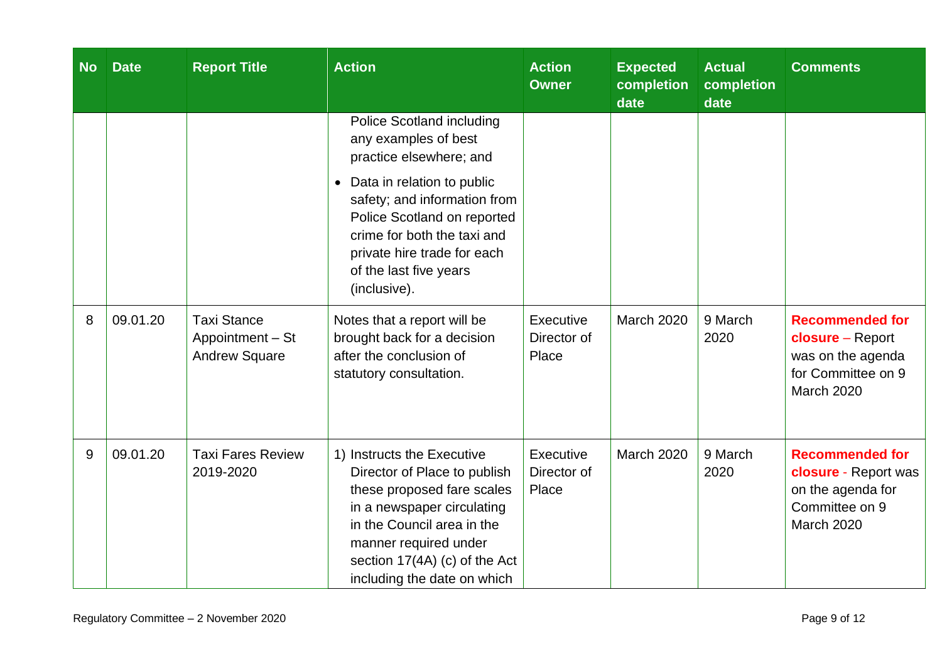| <b>No</b> | <b>Date</b> | <b>Report Title</b>                                            | <b>Action</b>                                                                                                                                                                                                                                 | <b>Action</b><br><b>Owner</b>     | <b>Expected</b><br>completion<br>date | <b>Actual</b><br>completion<br>date | <b>Comments</b>                                                                                     |
|-----------|-------------|----------------------------------------------------------------|-----------------------------------------------------------------------------------------------------------------------------------------------------------------------------------------------------------------------------------------------|-----------------------------------|---------------------------------------|-------------------------------------|-----------------------------------------------------------------------------------------------------|
|           |             |                                                                | Police Scotland including<br>any examples of best<br>practice elsewhere; and                                                                                                                                                                  |                                   |                                       |                                     |                                                                                                     |
|           |             |                                                                | Data in relation to public<br>$\bullet$<br>safety; and information from<br>Police Scotland on reported<br>crime for both the taxi and<br>private hire trade for each<br>of the last five years<br>(inclusive).                                |                                   |                                       |                                     |                                                                                                     |
| 8         | 09.01.20    | <b>Taxi Stance</b><br>Appointment - St<br><b>Andrew Square</b> | Notes that a report will be<br>brought back for a decision<br>after the conclusion of<br>statutory consultation.                                                                                                                              | Executive<br>Director of<br>Place | March 2020                            | 9 March<br>2020                     | <b>Recommended for</b><br>closure - Report<br>was on the agenda<br>for Committee on 9<br>March 2020 |
| 9         | 09.01.20    | <b>Taxi Fares Review</b><br>2019-2020                          | 1) Instructs the Executive<br>Director of Place to publish<br>these proposed fare scales<br>in a newspaper circulating<br>in the Council area in the<br>manner required under<br>section 17(4A) (c) of the Act<br>including the date on which | Executive<br>Director of<br>Place | March 2020                            | 9 March<br>2020                     | <b>Recommended for</b><br>closure - Report was<br>on the agenda for<br>Committee on 9<br>March 2020 |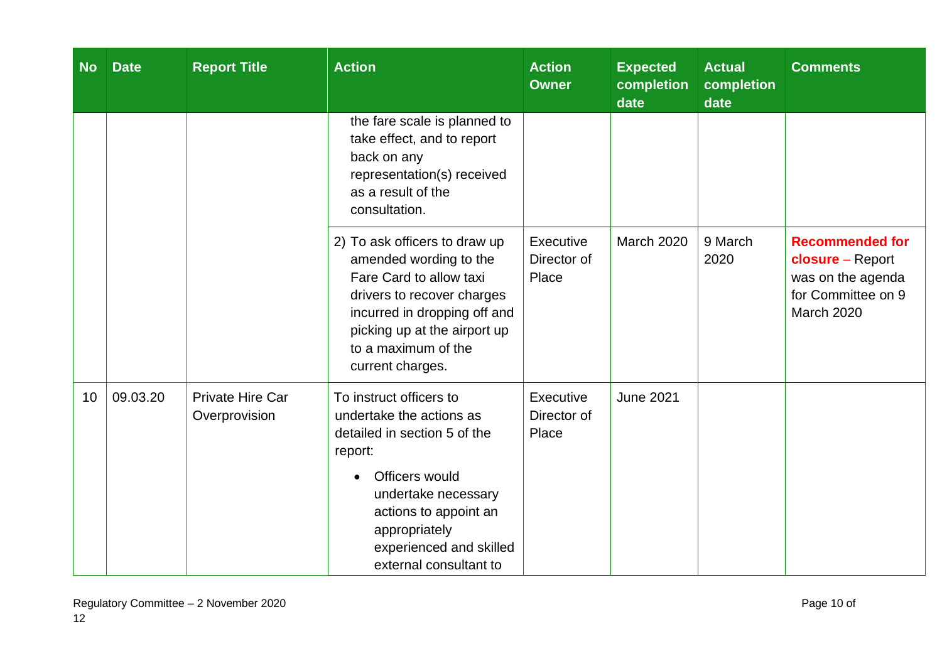| <b>No</b> | <b>Date</b> | <b>Report Title</b>                      | <b>Action</b>                                                                                                                                                                                                                                       | <b>Action</b><br><b>Owner</b>     | <b>Expected</b><br>completion<br>date | <b>Actual</b><br>completion<br>date | <b>Comments</b>                                                                                                   |
|-----------|-------------|------------------------------------------|-----------------------------------------------------------------------------------------------------------------------------------------------------------------------------------------------------------------------------------------------------|-----------------------------------|---------------------------------------|-------------------------------------|-------------------------------------------------------------------------------------------------------------------|
|           |             |                                          | the fare scale is planned to<br>take effect, and to report<br>back on any<br>representation(s) received<br>as a result of the<br>consultation.                                                                                                      |                                   |                                       |                                     |                                                                                                                   |
|           |             |                                          | 2) To ask officers to draw up<br>amended wording to the<br>Fare Card to allow taxi<br>drivers to recover charges<br>incurred in dropping off and<br>picking up at the airport up<br>to a maximum of the<br>current charges.                         | Executive<br>Director of<br>Place | March 2020                            | 9 March<br>2020                     | <b>Recommended for</b><br><b>closure</b> – Report<br>was on the agenda<br>for Committee on 9<br><b>March 2020</b> |
| 10        | 09.03.20    | <b>Private Hire Car</b><br>Overprovision | To instruct officers to<br>undertake the actions as<br>detailed in section 5 of the<br>report:<br>Officers would<br>$\bullet$<br>undertake necessary<br>actions to appoint an<br>appropriately<br>experienced and skilled<br>external consultant to | Executive<br>Director of<br>Place | <b>June 2021</b>                      |                                     |                                                                                                                   |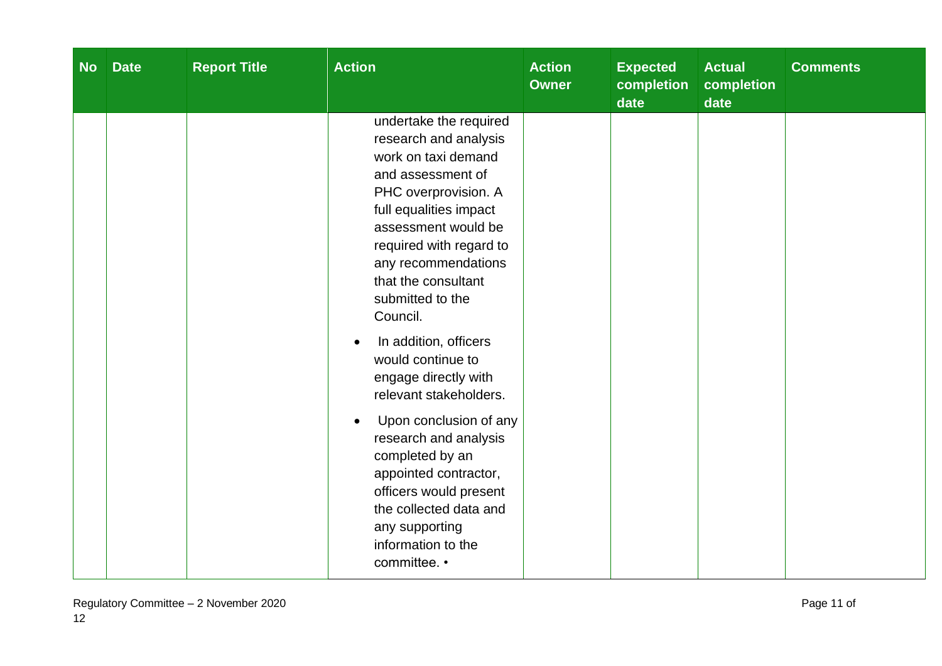| <b>No</b> | <b>Date</b> | <b>Report Title</b> | <b>Action</b>                                                                                                                                                                                                                                                                                                                                                                                                                                                                                                                                                                                         | <b>Action</b><br><b>Owner</b> | <b>Expected</b><br>completion<br>date | <b>Actual</b><br>completion<br>date | <b>Comments</b> |
|-----------|-------------|---------------------|-------------------------------------------------------------------------------------------------------------------------------------------------------------------------------------------------------------------------------------------------------------------------------------------------------------------------------------------------------------------------------------------------------------------------------------------------------------------------------------------------------------------------------------------------------------------------------------------------------|-------------------------------|---------------------------------------|-------------------------------------|-----------------|
|           |             |                     | undertake the required<br>research and analysis<br>work on taxi demand<br>and assessment of<br>PHC overprovision. A<br>full equalities impact<br>assessment would be<br>required with regard to<br>any recommendations<br>that the consultant<br>submitted to the<br>Council.<br>In addition, officers<br>would continue to<br>engage directly with<br>relevant stakeholders.<br>Upon conclusion of any<br>$\bullet$<br>research and analysis<br>completed by an<br>appointed contractor,<br>officers would present<br>the collected data and<br>any supporting<br>information to the<br>committee. • |                               |                                       |                                     |                 |